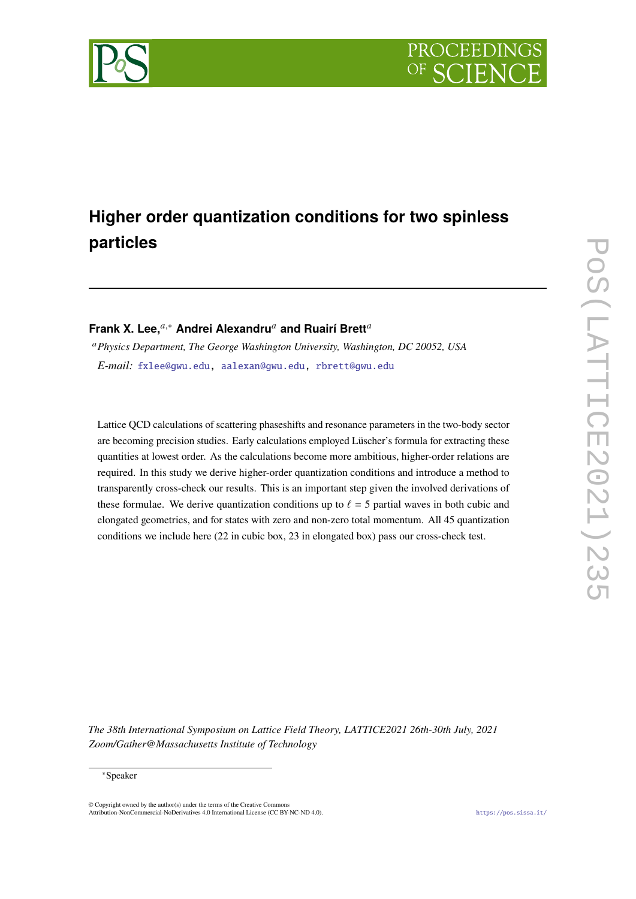

# **Higher order quantization conditions for two spinless particles**

## **Frank X. Lee,**<sup>a,\*</sup> Andrei Alexandru<sup>a</sup> and Ruairí Brett<sup>a</sup>

<sup>𝑎</sup>*Physics Department, The George Washington University, Washington, DC 20052, USA E-mail:* [fxlee@gwu.edu,](mailto:fxlee@gwu.edu) [aalexan@gwu.edu,](mailto:aalexan@gwu.edu) [rbrett@gwu.edu](mailto:rbrett@gwu.edu)

Lattice QCD calculations of scattering phaseshifts and resonance parameters in the two-body sector are becoming precision studies. Early calculations employed Lüscher's formula for extracting these quantities at lowest order. As the calculations become more ambitious, higher-order relations are required. In this study we derive higher-order quantization conditions and introduce a method to transparently cross-check our results. This is an important step given the involved derivations of these formulae. We derive quantization conditions up to  $\ell = 5$  partial waves in both cubic and elongated geometries, and for states with zero and non-zero total momentum. All 45 quantization conditions we include here (22 in cubic box, 23 in elongated box) pass our cross-check test.

*The 38th International Symposium on Lattice Field Theory, LATTICE2021 26th-30th July, 2021 Zoom/Gather@Massachusetts Institute of Technology*

#### ∗Speaker

© Copyright owned by the author(s) under the terms of the Creative Commons Attribution-NonCommercial-NoDerivatives 4.0 International License (CC BY-NC-ND 4.0). <https://pos.sissa.it/>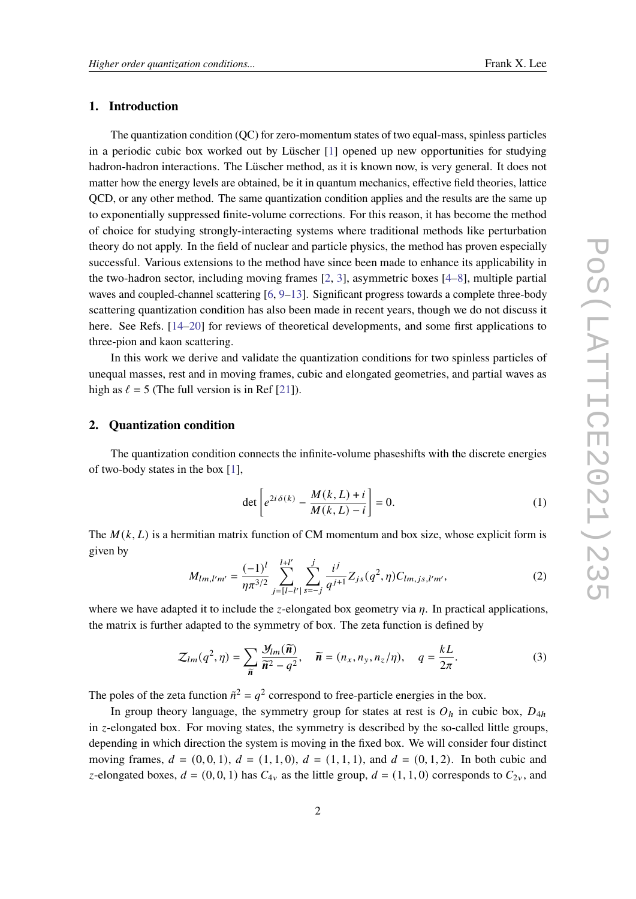#### **1. Introduction**

The quantization condition (QC) for zero-momentum states of two equal-mass, spinless particles in a periodic cubic box worked out by Lüscher [\[1\]](#page-8-0) opened up new opportunities for studying hadron-hadron interactions. The Lüscher method, as it is known now, is very general. It does not matter how the energy levels are obtained, be it in quantum mechanics, effective field theories, lattice QCD, or any other method. The same quantization condition applies and the results are the same up to exponentially suppressed finite-volume corrections. For this reason, it has become the method of choice for studying strongly-interacting systems where traditional methods like perturbation theory do not apply. In the field of nuclear and particle physics, the method has proven especially successful. Various extensions to the method have since been made to enhance its applicability in the two-hadron sector, including moving frames [\[2,](#page-8-1) [3\]](#page-8-2), asymmetric boxes [\[4–](#page-8-3)[8\]](#page-8-4), multiple partial waves and coupled-channel scattering [\[6,](#page-8-5) [9–](#page-8-6)[13\]](#page-9-0). Significant progress towards a complete three-body scattering quantization condition has also been made in recent years, though we do not discuss it here. See Refs. [\[14–](#page-9-1)[20\]](#page-9-2) for reviews of theoretical developments, and some first applications to three-pion and kaon scattering.

In this work we derive and validate the quantization conditions for two spinless particles of unequal masses, rest and in moving frames, cubic and elongated geometries, and partial waves as high as  $\ell = 5$  (The full version is in Ref [\[21\]](#page-9-3)).

### **2. Quantization condition**

The quantization condition connects the infinite-volume phaseshifts with the discrete energies of two-body states in the box [\[1\]](#page-8-0),

$$
\det \left[ e^{2i \delta(k)} - \frac{M(k, L) + i}{M(k, L) - i} \right] = 0.
$$
 (1)

The  $M(k, L)$  is a hermitian matrix function of CM momentum and box size, whose explicit form is given by

$$
M_{lm,l'm'} = \frac{(-1)^l}{\eta \pi^{3/2}} \sum_{j=\lfloor l-l'\rfloor}^{l+l'} \sum_{s=-j}^{j} \frac{i^j}{q^{j+1}} Z_{js}(q^2, \eta) C_{lm,js,l'm'},\tag{2}
$$

where we have adapted it to include the *z*-elongated box geometry via  $\eta$ . In practical applications, the matrix is further adapted to the symmetry of box. The zeta function is defined by

<span id="page-1-0"></span>
$$
\mathcal{Z}_{lm}(q^2,\eta) = \sum_{\widetilde{n}} \frac{\mathcal{Y}_{lm}(\widetilde{n})}{\widetilde{n}^2 - q^2}, \quad \widetilde{n} = (n_x, n_y, n_z/\eta), \quad q = \frac{kL}{2\pi}.
$$
 (3)

The poles of the zeta function  $\tilde{n}^2 = q^2$  correspond to free-particle energies in the box.

In group theory language, the symmetry group for states at rest is  $O<sub>h</sub>$  in cubic box,  $D<sub>4h</sub>$ in  $z$ -elongated box. For moving states, the symmetry is described by the so-called little groups, depending in which direction the system is moving in the fixed box. We will consider four distinct moving frames,  $d = (0, 0, 1), d = (1, 1, 0), d = (1, 1, 1),$  and  $d = (0, 1, 2)$ . In both cubic and z-elongated boxes,  $d = (0, 0, 1)$  has  $C_{4v}$  as the little group,  $d = (1, 1, 0)$  corresponds to  $C_{2v}$ , and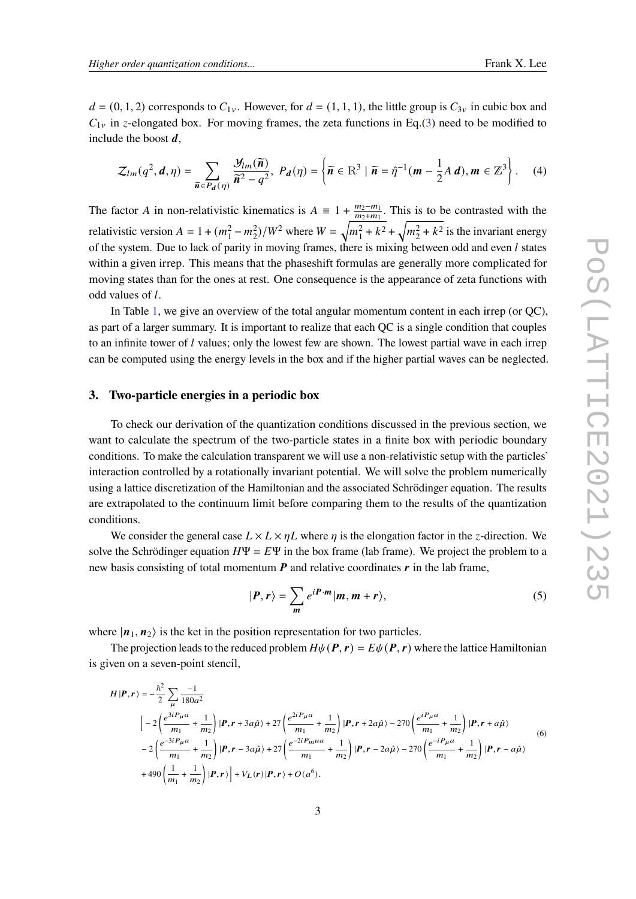$d = (0, 1, 2)$  corresponds to  $C_{1y}$ . However, for  $d = (1, 1, 1)$ , the little group is  $C_{3y}$  in cubic box and  $C_{1v}$  in z-elongated box. For moving frames, the zeta functions in Eq.[\(3\)](#page-1-0) need to be modified to include the boost  $d$ ,

$$
\mathcal{Z}_{lm}(q^2, \mathbf{d}, \boldsymbol{\eta}) = \sum_{\widetilde{\mathbf{n}} \in P_{\mathbf{d}}(\boldsymbol{\eta})} \frac{\mathcal{Y}_{lm}(\widetilde{\mathbf{n}})}{\widetilde{\mathbf{n}}^2 - q^2}, \ P_{\mathbf{d}}(\boldsymbol{\eta}) = \left\{ \widetilde{\mathbf{n}} \in \mathbb{R}^3 \mid \widetilde{\mathbf{n}} = \widehat{\eta}^{-1}(\mathbf{m} - \frac{1}{2}A \mathbf{d}), \mathbf{m} \in \mathbb{Z}^3 \right\}. \tag{4}
$$

The factor A in non-relativistic kinematics is  $A = 1 + \frac{m_2 - m_1}{m_1 + m_2}$  $\frac{m_2-m_1}{m_2+m_1}$ . This is to be contrasted with the relativistic version  $A = 1 + (m_1^2 - m_2^2)/W^2$  where  $W = \sqrt{m_1^2 + k^2} + \sqrt{m_2^2 + k^2}$  is the invariant energy of the system. Due to lack of parity in moving frames, there is mixing between odd and even  $l$  states within a given irrep. This means that the phaseshift formulas are generally more complicated for moving states than for the ones at rest. One consequence is the appearance of zeta functions with odd values of l.

In Table [1,](#page-6-0) we give an overview of the total angular momentum content in each irrep (or QC), as part of a larger summary. It is important to realize that each QC is a single condition that couples to an infinite tower of  $l$  values; only the lowest few are shown. The lowest partial wave in each irrep can be computed using the energy levels in the box and if the higher partial waves can be neglected.

#### **3. Two-particle energies in a periodic box**

To check our derivation of the quantization conditions discussed in the previous section, we want to calculate the spectrum of the two-particle states in a finite box with periodic boundary conditions. To make the calculation transparent we will use a non-relativistic setup with the particles' interaction controlled by a rotationally invariant potential. We will solve the problem numerically using a lattice discretization of the Hamiltonian and the associated Schrödinger equation. The results are extrapolated to the continuum limit before comparing them to the results of the quantization conditions.

We consider the general case  $L \times L \times \eta L$  where  $\eta$  is the elongation factor in the *z*-direction. We solve the Schrödinger equation  $H\Psi = E\Psi$  in the box frame (lab frame). We project the problem to a new basis consisting of total momentum  $P$  and relative coordinates  $r$  in the lab frame,

$$
|\boldsymbol{P}, \boldsymbol{r}\rangle = \sum_{\boldsymbol{m}} e^{i\boldsymbol{P}\cdot\boldsymbol{m}} |\boldsymbol{m}, \boldsymbol{m} + \boldsymbol{r}\rangle, \tag{5}
$$

where  $|n_1, n_2\rangle$  is the ket in the position representation for two particles.

The projection leads to the reduced problem  $H\psi(P, r) = E\psi(P, r)$  where the lattice Hamiltonian is given on a seven-point stencil,

<span id="page-2-0"></span>
$$
H|\mathbf{P}, \mathbf{r}\rangle = -\frac{\hbar^2}{2} \sum_{\mu} \frac{-1}{180a^2}
$$
\n
$$
\left[ -2\left( \frac{e^{3i\mathbf{P}_{\mu}a}}{m_1} + \frac{1}{m_2} \right) |\mathbf{P}, \mathbf{r} + 3a\hat{\mu}\rangle + 27\left( \frac{e^{2i\mathbf{P}_{\mu}a}}{m_1} + \frac{1}{m_2} \right) |\mathbf{P}, \mathbf{r} + 2a\hat{\mu}\rangle - 270\left( \frac{e^{i\mathbf{P}_{\mu}a}}{m_1} + \frac{1}{m_2} \right) |\mathbf{P}, \mathbf{r} + a\hat{\mu}\rangle
$$
\n
$$
-2\left( \frac{e^{-3i\mathbf{P}_{\mu}a}}{m_1} + \frac{1}{m_2} \right) |\mathbf{P}, \mathbf{r} - 3a\hat{\mu}\rangle + 27\left( \frac{e^{-2i\mathbf{P}_{\mu}a a}}{m_1} + \frac{1}{m_2} \right) |\mathbf{P}, \mathbf{r} - 2a\hat{\mu}\rangle - 270\left( \frac{e^{-i\mathbf{P}_{\mu}a}}{m_1} + \frac{1}{m_2} \right) |\mathbf{P}, \mathbf{r} - a\hat{\mu}\rangle
$$
\n
$$
+ 490\left( \frac{1}{m_1} + \frac{1}{m_2} \right) |\mathbf{P}, \mathbf{r}\rangle \right] + V_L(\mathbf{r})|\mathbf{P}, \mathbf{r}\rangle + O(a^6).
$$
\n(6)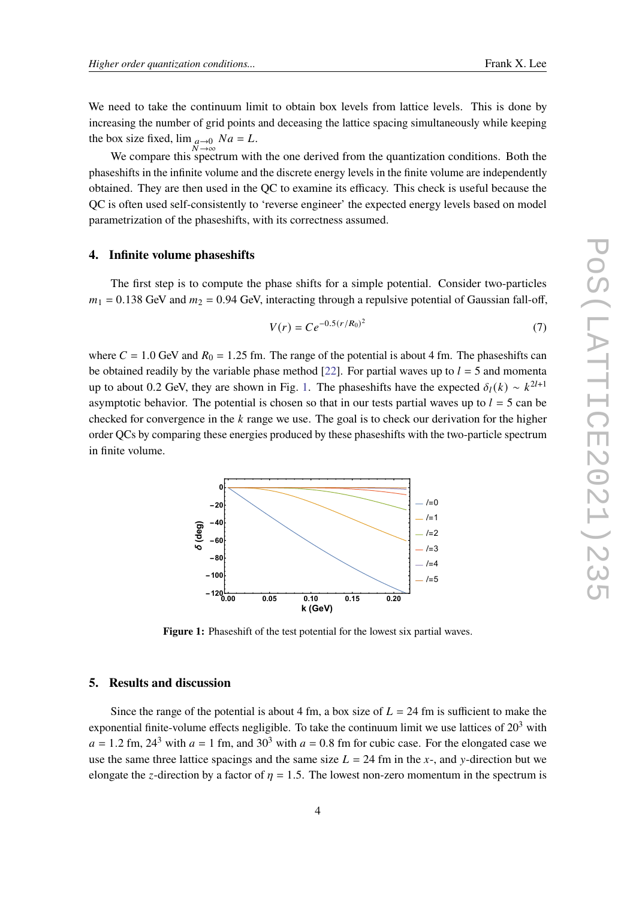We need to take the continuum limit to obtain box levels from lattice levels. This is done by increasing the number of grid points and deceasing the lattice spacing simultaneously while keeping the box size fixed,  $\lim_{\substack{a \to 0 \\ N \to \infty}} Na = L$ .

We compare this spectrum with the one derived from the quantization conditions. Both the phaseshifts in the infinite volume and the discrete energy levels in the finite volume are independently obtained. They are then used in the QC to examine its efficacy. This check is useful because the QC is often used self-consistently to 'reverse engineer' the expected energy levels based on model parametrization of the phaseshifts, with its correctness assumed.

### **4. Infinite volume phaseshifts**

The first step is to compute the phase shifts for a simple potential. Consider two-particles  $m_1 = 0.138$  GeV and  $m_2 = 0.94$  GeV, interacting through a repulsive potential of Gaussian fall-off,

$$
V(r) = Ce^{-0.5(r/R_0)^2}
$$
 (7)

where  $C = 1.0$  GeV and  $R_0 = 1.25$  fm. The range of the potential is about 4 fm. The phaseshifts can be obtained readily by the variable phase method [\[22\]](#page-9-4). For partial waves up to  $l = 5$  and momenta up to about 0.2 GeV, they are shown in Fig. [1.](#page-3-0) The phaseshifts have the expected  $\delta_l(k) \sim k^{2l+1}$ asymptotic behavior. The potential is chosen so that in our tests partial waves up to  $l = 5$  can be checked for convergence in the  $k$  range we use. The goal is to check our derivation for the higher order QCs by comparing these energies produced by these phaseshifts with the two-particle spectrum in finite volume.

<span id="page-3-0"></span>

**Figure 1:** Phaseshift of the test potential for the lowest six partial waves.

#### **5. Results and discussion**

Since the range of the potential is about 4 fm, a box size of  $L = 24$  fm is sufficient to make the exponential finite-volume effects negligible. To take the continuum limit we use lattices of  $20<sup>3</sup>$  with  $a = 1.2$  fm,  $24<sup>3</sup>$  with  $a = 1$  fm, and  $30<sup>3</sup>$  with  $a = 0.8$  fm for cubic case. For the elongated case we use the same three lattice spacings and the same size  $L = 24$  fm in the x-, and y-direction but we elongate the *z*-direction by a factor of  $\eta = 1.5$ . The lowest non-zero momentum in the spectrum is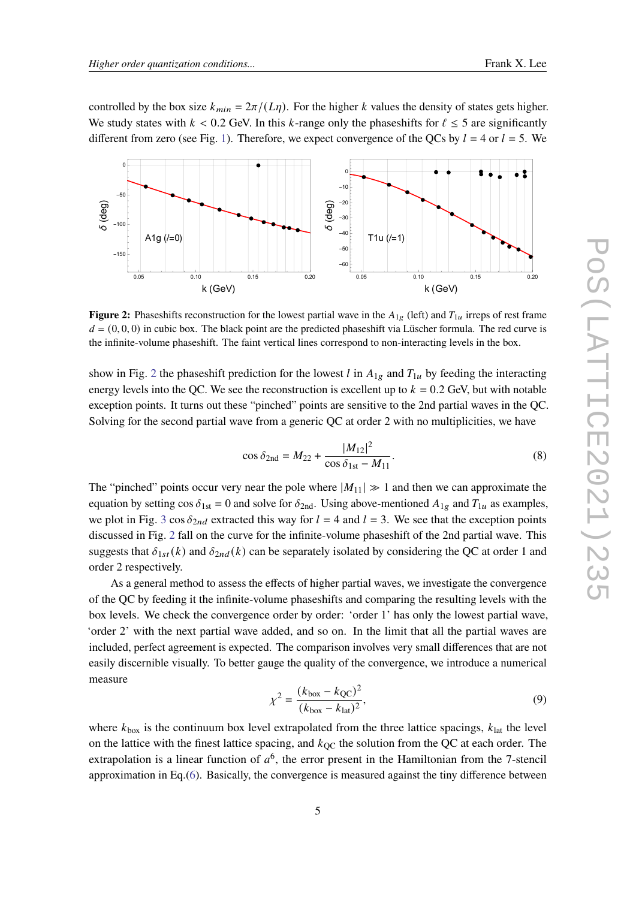controlled by the box size  $k_{min} = 2\pi/(L\eta)$ . For the higher k values the density of states gets higher. We study states with  $k < 0.2$  GeV. In this k-range only the phases hifts for  $\ell \leq 5$  are significantly different from zero (see Fig. [1\)](#page-3-0). Therefore, we expect convergence of the QCs by  $l = 4$  or  $l = 5$ . We

<span id="page-4-0"></span>

**Figure 2:** Phaseshifts reconstruction for the lowest partial wave in the  $A_{1g}$  (left) and  $T_{1u}$  irreps of rest frame  $d = (0, 0, 0)$  in cubic box. The black point are the predicted phaseshift via Lüscher formula. The red curve is the infinite-volume phaseshift. The faint vertical lines correspond to non-interacting levels in the box.

show in Fig. [2](#page-4-0) the phaseshift prediction for the lowest l in  $A_{1g}$  and  $T_{1u}$  by feeding the interacting energy levels into the QC. We see the reconstruction is excellent up to  $k = 0.2$  GeV, but with notable exception points. It turns out these "pinched" points are sensitive to the 2nd partial waves in the QC. Solving for the second partial wave from a generic QC at order 2 with no multiplicities, we have

<span id="page-4-1"></span>
$$
\cos \delta_{2\text{nd}} = M_{22} + \frac{|M_{12}|^2}{\cos \delta_{1\text{st}} - M_{11}}.
$$
\n(8)

The "pinched" points occur very near the pole where  $|M_{11}| \gg 1$  and then we can approximate the equation by setting  $\cos \delta_{1st} = 0$  and solve for  $\delta_{2nd}$ . Using above-mentioned  $A_{1g}$  and  $T_{1u}$  as examples, we plot in Fig. [3](#page-5-0) cos  $\delta_{2nd}$  extracted this way for  $l = 4$  and  $l = 3$ . We see that the exception points discussed in Fig. [2](#page-4-0) fall on the curve for the infinite-volume phaseshift of the 2nd partial wave. This suggests that  $\delta_{1st}(k)$  and  $\delta_{2nd}(k)$  can be separately isolated by considering the QC at order 1 and order 2 respectively.

As a general method to assess the effects of higher partial waves, we investigate the convergence of the QC by feeding it the infinite-volume phaseshifts and comparing the resulting levels with the box levels. We check the convergence order by order: 'order 1' has only the lowest partial wave, 'order 2' with the next partial wave added, and so on. In the limit that all the partial waves are included, perfect agreement is expected. The comparison involves very small differences that are not easily discernible visually. To better gauge the quality of the convergence, we introduce a numerical measure

$$
\chi^2 = \frac{(k_{\text{box}} - k_{\text{QC}})^2}{(k_{\text{box}} - k_{\text{lat}})^2},\tag{9}
$$

where  $k_{\text{box}}$  is the continuum box level extrapolated from the three lattice spacings,  $k_{\text{lat}}$  the level on the lattice with the finest lattice spacing, and  $k_{\text{OC}}$  the solution from the QC at each order. The extrapolation is a linear function of  $a^6$ , the error present in the Hamiltonian from the 7-stencil approximation in Eq.[\(6\)](#page-2-0). Basically, the convergence is measured against the tiny difference between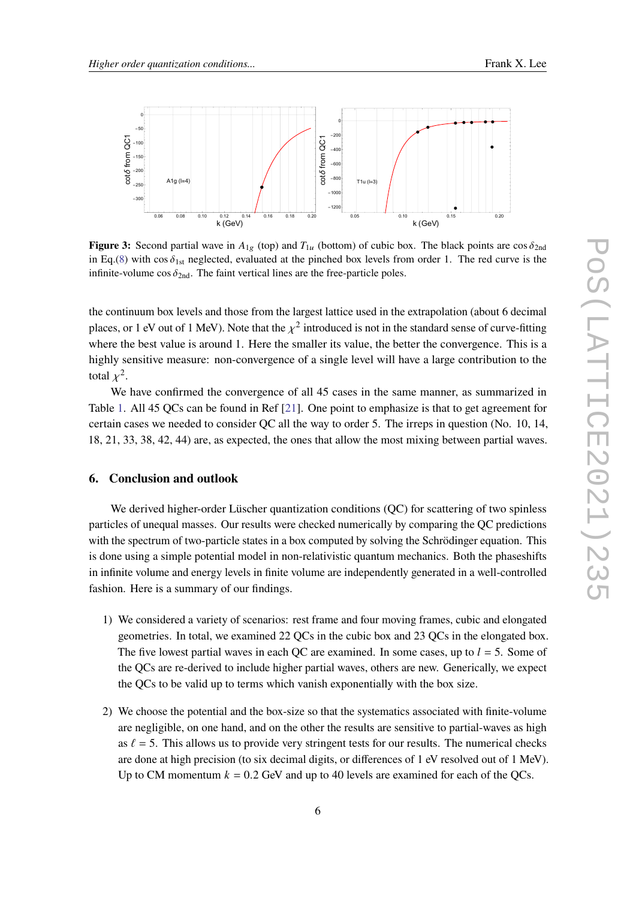<span id="page-5-0"></span>

**Figure 3:** Second partial wave in  $A_{1g}$  (top) and  $T_{1u}$  (bottom) of cubic box. The black points are cos  $\delta_{2nd}$ in Eq.[\(8\)](#page-4-1) with cos  $\delta_{1st}$  neglected, evaluated at the pinched box levels from order 1. The red curve is the infinite-volume cos  $\delta_{2nd}$ . The faint vertical lines are the free-particle poles.

the continuum box levels and those from the largest lattice used in the extrapolation (about 6 decimal places, or 1 eV out of 1 MeV). Note that the  $\chi^2$  introduced is not in the standard sense of curve-fitting where the best value is around 1. Here the smaller its value, the better the convergence. This is a highly sensitive measure: non-convergence of a single level will have a large contribution to the total  $x^2$ .

We have confirmed the convergence of all 45 cases in the same manner, as summarized in Table [1.](#page-6-0) All 45 QCs can be found in Ref [\[21\]](#page-9-3). One point to emphasize is that to get agreement for certain cases we needed to consider QC all the way to order 5. The irreps in question (No. 10, 14, 18, 21, 33, 38, 42, 44) are, as expected, the ones that allow the most mixing between partial waves.

#### **6. Conclusion and outlook**

We derived higher-order Lüscher quantization conditions (OC) for scattering of two spinless particles of unequal masses. Our results were checked numerically by comparing the QC predictions with the spectrum of two-particle states in a box computed by solving the Schrödinger equation. This is done using a simple potential model in non-relativistic quantum mechanics. Both the phaseshifts in infinite volume and energy levels in finite volume are independently generated in a well-controlled fashion. Here is a summary of our findings.

- 1) We considered a variety of scenarios: rest frame and four moving frames, cubic and elongated geometries. In total, we examined 22 QCs in the cubic box and 23 QCs in the elongated box. The five lowest partial waves in each QC are examined. In some cases, up to  $l = 5$ . Some of the QCs are re-derived to include higher partial waves, others are new. Generically, we expect the QCs to be valid up to terms which vanish exponentially with the box size.
- 2) We choose the potential and the box-size so that the systematics associated with finite-volume are negligible, on one hand, and on the other the results are sensitive to partial-waves as high as  $\ell = 5$ . This allows us to provide very stringent tests for our results. The numerical checks are done at high precision (to six decimal digits, or differences of 1 eV resolved out of 1 MeV). Up to CM momentum  $k = 0.2$  GeV and up to 40 levels are examined for each of the QCs.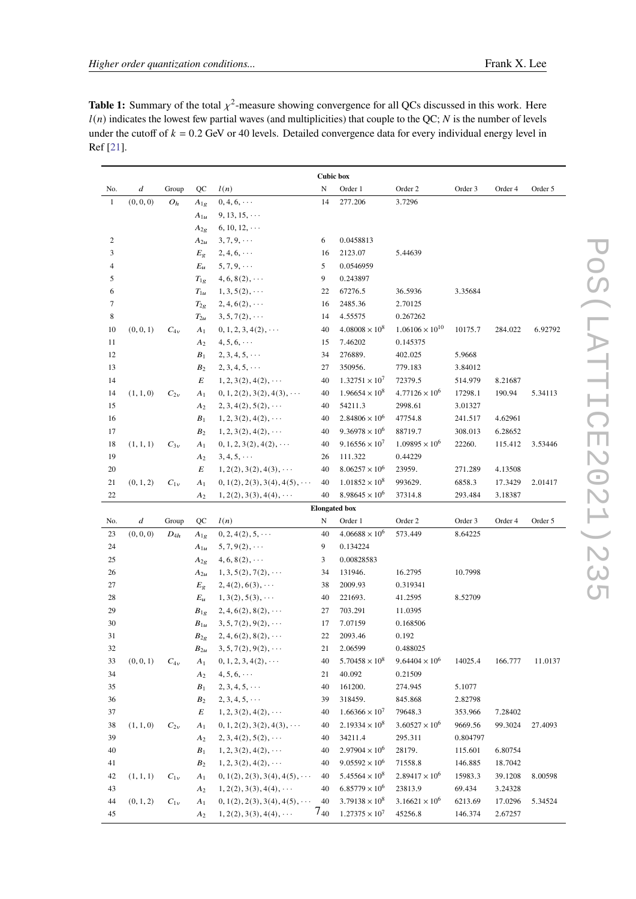<span id="page-6-0"></span>**Table 1:** Summary of the total  $\chi^2$ -measure showing convergence for all QCs discussed in this work. Here  $l(n)$  indicates the lowest few partial waves (and multiplicities) that couple to the QC; N is the number of levels under the cutoff of  $k = 0.2$  GeV or 40 levels. Detailed convergence data for every individual energy level in Ref [\[21\]](#page-9-3).

| <b>Cubic box</b>     |                  |          |                |                                     |                |                                                  |                                    |          |         |         |
|----------------------|------------------|----------|----------------|-------------------------------------|----------------|--------------------------------------------------|------------------------------------|----------|---------|---------|
| No.                  | $\boldsymbol{d}$ | Group    | QC             | l(n)                                | N              | Order 1                                          | Order 2                            | Order 3  | Order 4 | Order 5 |
| $\mathbf{1}$         | (0, 0, 0)        | $O_h$    | $A_{1g}$       | $0, 4, 6, \cdots$                   | 14             | 277.206                                          | 3.7296                             |          |         |         |
|                      |                  |          | $A_{1u}$       | $9, 13, 15, \cdots$                 |                |                                                  |                                    |          |         |         |
|                      |                  |          | $A_{2g}$       | $6, 10, 12, \cdots$                 |                |                                                  |                                    |          |         |         |
| 2                    |                  |          | $A_{2u}$       | $3, 7, 9, \cdots$                   | 6              | 0.0458813                                        |                                    |          |         |         |
| 3                    |                  |          | $E_g$          | $2, 4, 6, \cdots$                   | 16             | 2123.07                                          | 5.44639                            |          |         |         |
| 4                    |                  |          | $E_u$          | $5, 7, 9, \cdots$                   | 5              | 0.0546959                                        |                                    |          |         |         |
| 5                    |                  |          | $T_{1g}$       | $4, 6, 8(2), \cdots$                | 9              | 0.243897                                         |                                    |          |         |         |
| 6                    |                  |          | $T_{1u}$       | $1, 3, 5(2), \cdots$                | 22             | 67276.5                                          | 36.5936                            | 3.35684  |         |         |
| 7                    |                  |          | $T_{2g}$       | $2, 4, 6(2), \cdots$                | 16             | 2485.36                                          | 2.70125                            |          |         |         |
| 8                    |                  |          | $T_{2u}$       | $3, 5, 7(2), \cdots$                | 14             | 4.55575                                          | 0.267262                           |          |         |         |
| 10                   | (0, 0, 1)        | $C_{4v}$ | A <sub>1</sub> | $0, 1, 2, 3, 4(2), \cdots$          | 40             | $4.08008 \times 10^8$                            | $1.06106 \times 10^{10}$           | 10175.7  | 284.022 | 6.92792 |
| 11                   |                  |          | A <sub>2</sub> | $4, 5, 6, \cdots$                   | 15             | 7.46202                                          | 0.145375                           |          |         |         |
| 12                   |                  |          | $B_1$          | $2, 3, 4, 5, \cdots$                | 34             | 276889.                                          | 402.025                            | 5.9668   |         |         |
| 13                   |                  |          | B <sub>2</sub> | $2, 3, 4, 5, \cdots$                | 27             | 350956.                                          | 779.183                            | 3.84012  |         |         |
| 14                   |                  |          | E              | $1, 2, 3(2), 4(2), \cdots$          | 40             | $1.32751 \times 10^7$                            | 72379.5                            | 514.979  | 8.21687 |         |
| 14                   | (1, 1, 0)        | $C_{2v}$ | $A_1$          | $0, 1, 2(2), 3(2), 4(3), \cdots$    | 40             | $1.96654 \times 10^8$                            | $4.77126 \times 10^{6}$            | 17298.1  | 190.94  | 5.34113 |
| 15                   |                  |          | A2             | $2, 3, 4(2), 5(2), \cdots$          | 40             | 54211.3                                          | 2998.61                            | 3.01327  |         |         |
| 16                   |                  |          | $B_1$          | $1, 2, 3(2), 4(2), \cdots$          | 40             | $2.84806 \times 10^{6}$                          | 47754.8                            | 241.517  | 4.62961 |         |
| 17                   |                  |          | B <sub>2</sub> | $1, 2, 3(2), 4(2), \cdots$          | 40             | $9.36978 \times 10^6$                            | 88719.7                            | 308.013  | 6.28652 |         |
| 18                   | (1, 1, 1)        | $C_{3v}$ | A <sub>1</sub> | $0, 1, 2, 3(2), 4(2), \cdots$       | 40             | $9.16556 \times 10^{7}$                          | $1.09895 \times 10^6$              | 22260.   | 115.412 | 3.53446 |
| 19                   |                  |          | A2             | $3, 4, 5, \cdots$                   | 26             | 111.322                                          | 0.44229                            |          |         |         |
| 20                   |                  |          | E              | $1, 2(2), 3(2), 4(3), \cdots$       | 40             | $8.06257 \times 10^{6}$                          | 23959.                             | 271.289  | 4.13508 |         |
| 21                   | (0, 1, 2)        | $C_{1v}$ | A <sub>1</sub> | $0, 1(2), 2(3), 3(4), 4(5), \cdots$ | 40             | $1.01852 \times 10^8$                            | 993629.                            | 6858.3   | 17.3429 | 2.01417 |
| 22                   |                  |          | A2             | $1, 2(2), 3(3), 4(4), \cdots$       | 40             | $8.98645 \times 10^{6}$                          | 37314.8                            | 293.484  | 3.18387 |         |
| <b>Elongated</b> box |                  |          |                |                                     |                |                                                  |                                    |          |         |         |
| No.                  | $\boldsymbol{d}$ | Group    | QC             | l(n)                                | N              | Order 1                                          | Order 2                            | Order 3  | Order 4 | Order 5 |
| 23                   | (0, 0, 0)        | $D_{4h}$ | $A_{1g}$       | $0, 2, 4(2), 5, \cdots$             | 40             | $4.06688 \times 10^{6}$                          | 573.449                            | 8.64225  |         |         |
| 24                   |                  |          | $A_{1u}$       | $5, 7, 9(2), \cdots$                | 9              | 0.134224                                         |                                    |          |         |         |
| 25                   |                  |          | $A_{2g}$       | $4, 6, 8(2), \cdots$                | 3              | 0.00828583                                       |                                    |          |         |         |
| 26                   |                  |          | $A_{2u}$       | $1, 3, 5(2), 7(2), \cdots$          | 34             | 131946.                                          | 16.2795                            | 10.7998  |         |         |
| 27                   |                  |          | $E_g$          | $2, 4(2), 6(3), \cdots$             | 38             | 2009.93                                          | 0.319341                           |          |         |         |
| 28                   |                  |          | $E_u$          | $1, 3(2), 5(3), \cdots$             | 40             | 221693.                                          | 41.2595                            | 8.52709  |         |         |
| 29                   |                  |          | $B_{1g}$       | $2, 4, 6(2), 8(2), \cdots$          | 27             | 703.291                                          | 11.0395                            |          |         |         |
| 30                   |                  |          | $B_{1u}$       | $3, 5, 7(2), 9(2), \cdots$          | 17             | 7.07159                                          | 0.168506                           |          |         |         |
| 31                   |                  |          | $B_{2g}$       | $2, 4, 6(2), 8(2), \cdots$          | 22             | 2093.46                                          | 0.192                              |          |         |         |
| 32                   |                  |          | $B_{2u}$       | $3, 5, 7(2), 9(2), \cdots$          | 21             | 2.06599                                          | 0.488025                           |          |         |         |
| 33                   | (0, 0, 1)        | $C_{4v}$ | $A_1$          | $0, 1, 2, 3, 4(2), \cdots$          | 40             | $5.70458 \times 10^8$                            | $9.64404 \times 10^{6}$            | 14025.4  | 166.777 | 11.0137 |
| 34                   |                  |          | $A_2$          | $4, 5, 6, \cdots$                   | 21             | 40.092                                           | 0.21509                            |          |         |         |
| 35                   |                  |          | $B_1$          | $2, 3, 4, 5, \cdots$                | 40             | 161200.                                          | 274.945                            | 5.1077   |         |         |
| 36                   |                  |          | B <sub>2</sub> | $2, 3, 4, 5, \cdots$                | 39             | 318459.                                          | 845.868                            | 2.82798  |         |         |
| 37                   |                  |          | E              | $1, 2, 3(2), 4(2), \cdots$          | 40             | $1.66366 \times 10^7$                            | 79648.3                            | 353.966  | 7.28402 |         |
| 38                   | (1, 1, 0)        | $C_{2v}$ | A <sub>1</sub> | $0, 1, 2(2), 3(2), 4(3), \cdots$    | 40             | $2.19334 \times 10^8$                            | $3.60527 \times 10^{6}$            | 9669.56  | 99.3024 | 27.4093 |
| 39                   |                  |          | A <sub>2</sub> | $2, 3, 4(2), 5(2), \cdots$          | 40             | 34211.4                                          | 295.311                            | 0.804797 |         |         |
| 40                   |                  |          | $B_1$          | $1, 2, 3(2), 4(2), \cdots$          | 40             | $2.97904 \times 10^6$                            | 28179.                             | 115.601  | 6.80754 |         |
| 41                   |                  |          | B <sub>2</sub> | $1, 2, 3(2), 4(2), \cdots$          | 40             | $9.05592 \times 10^6$                            | 71558.8                            | 146.885  | 18.7042 |         |
| 42                   | (1, 1, 1)        | $C_{1v}$ | A <sub>1</sub> | $0, 1(2), 2(3), 3(4), 4(5), \cdots$ | 40             | $5.45564 \times 10^8$                            | $2.89417 \times 10^{6}$            | 15983.3  | 39.1208 | 8.00598 |
| 43                   |                  |          | A <sub>2</sub> | $1, 2(2), 3(3), 4(4), \cdots$       | 40             | $6.85779 \times 10^{6}$<br>$3.79138 \times 10^8$ | 23813.9<br>$3.16621 \times 10^{6}$ | 69.434   | 3.24328 |         |
| 44                   | (0, 1, 2)        | $C_{1v}$ | A <sub>1</sub> | $0, 1(2), 2(3), 3(4), 4(5), \cdots$ | 40<br>$7_{40}$ |                                                  |                                    | 6213.69  | 17.0296 | 5.34524 |
| 45                   |                  |          | $A_2$          | $1, 2(2), 3(3), 4(4), \cdots$       |                | $1.27375 \times 10^7$                            | 45256.8                            | 146.374  | 2.67257 |         |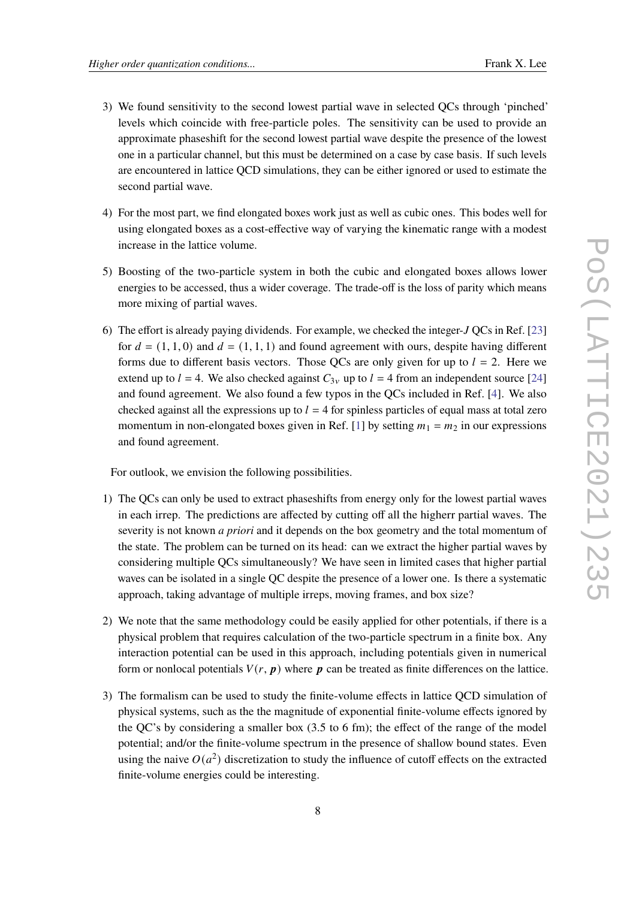- 3) We found sensitivity to the second lowest partial wave in selected QCs through 'pinched'
- levels which coincide with free-particle poles. The sensitivity can be used to provide an approximate phaseshift for the second lowest partial wave despite the presence of the lowest one in a particular channel, but this must be determined on a case by case basis. If such levels are encountered in lattice QCD simulations, they can be either ignored or used to estimate the second partial wave.
- 4) For the most part, we find elongated boxes work just as well as cubic ones. This bodes well for using elongated boxes as a cost-effective way of varying the kinematic range with a modest increase in the lattice volume.
- 5) Boosting of the two-particle system in both the cubic and elongated boxes allows lower energies to be accessed, thus a wider coverage. The trade-off is the loss of parity which means more mixing of partial waves.
- 6) The effort is already paying dividends. For example, we checked the integer- $J$  QCs in Ref. [\[23\]](#page-9-5) for  $d = (1, 1, 0)$  and  $d = (1, 1, 1)$  and found agreement with ours, despite having different forms due to different basis vectors. Those OCs are only given for up to  $l = 2$ . Here we extend up to  $l = 4$ . We also checked against  $C_{3v}$  up to  $l = 4$  from an independent source [\[24\]](#page-9-6) and found agreement. We also found a few typos in the QCs included in Ref. [\[4\]](#page-8-3). We also checked against all the expressions up to  $l = 4$  for spinless particles of equal mass at total zero momentum in non-elongated boxes given in Ref. [\[1\]](#page-8-0) by setting  $m_1 = m_2$  in our expressions and found agreement.

For outlook, we envision the following possibilities.

- 1) The QCs can only be used to extract phaseshifts from energy only for the lowest partial waves in each irrep. The predictions are affected by cutting off all the higherr partial waves. The severity is not known *a priori* and it depends on the box geometry and the total momentum of the state. The problem can be turned on its head: can we extract the higher partial waves by considering multiple QCs simultaneously? We have seen in limited cases that higher partial waves can be isolated in a single QC despite the presence of a lower one. Is there a systematic approach, taking advantage of multiple irreps, moving frames, and box size?
- 2) We note that the same methodology could be easily applied for other potentials, if there is a physical problem that requires calculation of the two-particle spectrum in a finite box. Any interaction potential can be used in this approach, including potentials given in numerical form or nonlocal potentials  $V(r, p)$  where p can be treated as finite differences on the lattice.
- 3) The formalism can be used to study the finite-volume effects in lattice QCD simulation of physical systems, such as the the magnitude of exponential finite-volume effects ignored by the QC's by considering a smaller box (3.5 to 6 fm); the effect of the range of the model potential; and/or the finite-volume spectrum in the presence of shallow bound states. Even using the naive  $O(a^2)$  discretization to study the influence of cutoff effects on the extracted finite-volume energies could be interesting.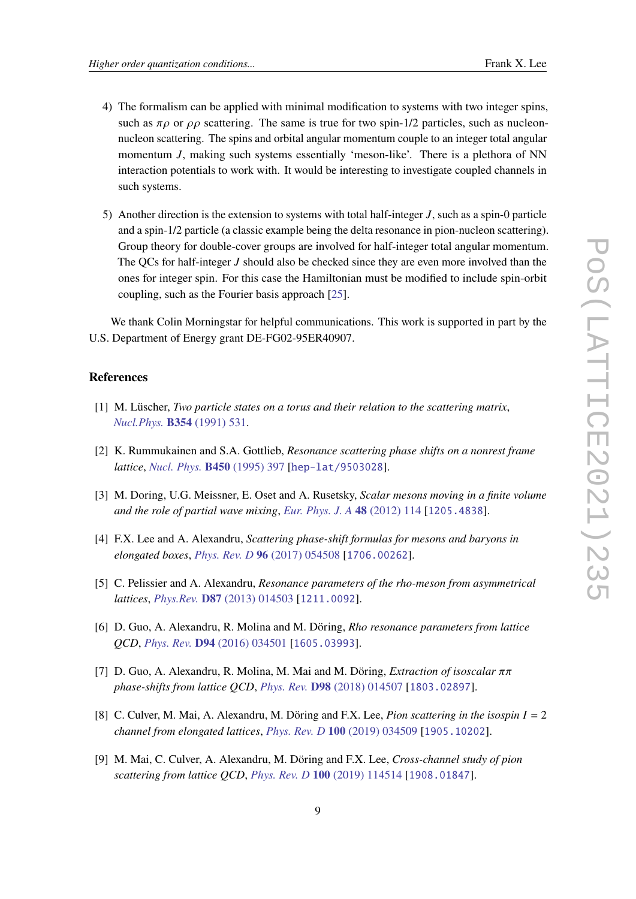- 4) The formalism can be applied with minimal modification to systems with two integer spins, such as  $\pi \rho$  or  $\rho \rho$  scattering. The same is true for two spin-1/2 particles, such as nucleonnucleon scattering. The spins and orbital angular momentum couple to an integer total angular momentum  $J$ , making such systems essentially 'meson-like'. There is a plethora of NN interaction potentials to work with. It would be interesting to investigate coupled channels in such systems.
- 5) Another direction is the extension to systems with total half-integer  $J$ , such as a spin-0 particle and a spin-1/2 particle (a classic example being the delta resonance in pion-nucleon scattering). Group theory for double-cover groups are involved for half-integer total angular momentum. The QCs for half-integer  $J$  should also be checked since they are even more involved than the ones for integer spin. For this case the Hamiltonian must be modified to include spin-orbit coupling, such as the Fourier basis approach [\[25\]](#page-9-7).

We thank Colin Morningstar for helpful communications. This work is supported in part by the U.S. Department of Energy grant DE-FG02-95ER40907.

#### **References**

- <span id="page-8-0"></span>[1] M. Lüscher, *Two particle states on a torus and their relation to the scattering matrix*, *[Nucl.Phys.](https://doi.org/10.1016/0550-3213(91)90366-6)* **B354** (1991) 531.
- <span id="page-8-1"></span>[2] K. Rummukainen and S.A. Gottlieb, *Resonance scattering phase shifts on a nonrest frame lattice*, *[Nucl. Phys.](https://doi.org/10.1016/0550-3213(95)00313-H)* **B450** (1995) 397 [[hep-lat/9503028](https://arxiv.org/abs/hep-lat/9503028)].
- <span id="page-8-2"></span>[3] M. Doring, U.G. Meissner, E. Oset and A. Rusetsky, *Scalar mesons moving in a finite volume and the role of partial wave mixing*, *[Eur. Phys. J. A](https://doi.org/10.1140/epja/i2012-12114-6)* **48** (2012) 114 [[1205.4838](https://arxiv.org/abs/1205.4838)].
- <span id="page-8-3"></span>[4] F.X. Lee and A. Alexandru, *Scattering phase-shift formulas for mesons and baryons in elongated boxes*, *[Phys. Rev. D](https://doi.org/10.1103/PhysRevD.96.054508)* **96** (2017) 054508 [[1706.00262](https://arxiv.org/abs/1706.00262)].
- [5] C. Pelissier and A. Alexandru, *Resonance parameters of the rho-meson from asymmetrical lattices*, *Phys.Rev.* **D87** [\(2013\) 014503](https://doi.org/10.1103/PhysRevD.87.014503) [[1211.0092](https://arxiv.org/abs/1211.0092)].
- <span id="page-8-5"></span>[6] D. Guo, A. Alexandru, R. Molina and M. Döring, *Rho resonance parameters from lattice QCD*, *Phys. Rev.* **D94** [\(2016\) 034501](https://doi.org/10.1103/PhysRevD.94.034501) [[1605.03993](https://arxiv.org/abs/1605.03993)].
- [7] D. Guo, A. Alexandru, R. Molina, M. Mai and M. Döring, *Extraction of isoscalar*  $\pi$ *phase-shifts from lattice QCD*, *Phys. Rev.* **D98** [\(2018\) 014507](https://doi.org/10.1103/PhysRevD.98.014507) [[1803.02897](https://arxiv.org/abs/1803.02897)].
- <span id="page-8-4"></span>[8] C. Culver, M. Mai, A. Alexandru, M. Döring and F.X. Lee, *Pion scattering in the isospin*  $I = 2$ *channel from elongated lattices*, *[Phys. Rev. D](https://doi.org/10.1103/PhysRevD.100.034509)* **100** (2019) 034509 [[1905.10202](https://arxiv.org/abs/1905.10202)].
- <span id="page-8-6"></span>[9] M. Mai, C. Culver, A. Alexandru, M. Döring and F.X. Lee, *Cross-channel study of pion scattering from lattice QCD*, *[Phys. Rev. D](https://doi.org/10.1103/PhysRevD.100.114514)* **100** (2019) 114514 [[1908.01847](https://arxiv.org/abs/1908.01847)].